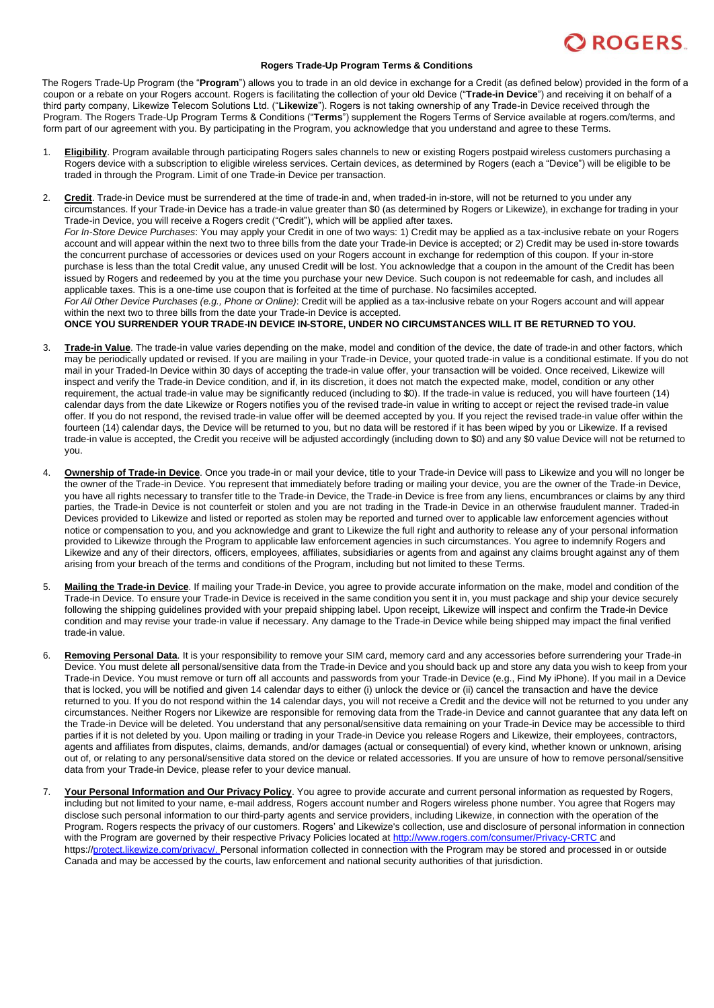

## **Rogers Trade-Up Program Terms & Conditions**

The Rogers Trade-Up Program (the "**Program**") allows you to trade in an old device in exchange for a Credit (as defined below) provided in the form of a coupon or a rebate on your Rogers account. Rogers is facilitating the collection of your old Device ("**Trade-in Device**") and receiving it on behalf of a third party company, Likewize Telecom Solutions Ltd. ("**Likewize**"). Rogers is not taking ownership of any Trade-in Device received through the Program. The Rogers Trade-Up Program Terms & Conditions ("**Terms**") supplement the Rogers Terms of Service available at rogers.com/terms, and form part of our agreement with you. By participating in the Program, you acknowledge that you understand and agree to these Terms.

- 1. **Eligibility**. Program available through participating Rogers sales channels to new or existing Rogers postpaid wireless customers purchasing a Rogers device with a subscription to eligible wireless services. Certain devices, as determined by Rogers (each a "Device") will be eligible to be traded in through the Program. Limit of one Trade-in Device per transaction.
- 2. **Credit**. Trade-in Device must be surrendered at the time of trade-in and, when traded-in in-store, will not be returned to you under any circumstances. If your Trade-in Device has a trade-in value greater than \$0 (as determined by Rogers or Likewize), in exchange for trading in your Trade-in Device, you will receive a Rogers credit ("Credit"), which will be applied after taxes. *For In-Store Device Purchases*: You may apply your Credit in one of two ways: 1) Credit may be applied as a tax-inclusive rebate on your Rogers account and will appear within the next two to three bills from the date your Trade-in Device is accepted; or 2) Credit may be used in-store towards the concurrent purchase of accessories or devices used on your Rogers account in exchange for redemption of this coupon. If your in-store purchase is less than the total Credit value, any unused Credit will be lost. You acknowledge that a coupon in the amount of the Credit has been issued by Rogers and redeemed by you at the time you purchase your new Device. Such coupon is not redeemable for cash, and includes all applicable taxes. This is a one-time use coupon that is forfeited at the time of purchase. No facsimiles accepted. *For All Other Device Purchases (e.g., Phone or Online)*: Credit will be applied as a tax-inclusive rebate on your Rogers account and will appear within the next two to three bills from the date your Trade-in Device is accepted. **ONCE YOU SURRENDER YOUR TRADE-IN DEVICE IN-STORE, UNDER NO CIRCUMSTANCES WILL IT BE RETURNED TO YOU.**
- 3. **Trade-in Value**. The trade-in value varies depending on the make, model and condition of the device, the date of trade-in and other factors, which may be periodically updated or revised. If you are mailing in your Trade-in Device, your quoted trade-in value is a conditional estimate. If you do not mail in your Traded-In Device within 30 days of accepting the trade-in value offer, your transaction will be voided. Once received, Likewize will inspect and verify the Trade-in Device condition, and if, in its discretion, it does not match the expected make, model, condition or any other requirement, the actual trade-in value may be significantly reduced (including to \$0). If the trade-in value is reduced, you will have fourteen (14) calendar days from the date Likewize or Rogers notifies you of the revised trade-in value in writing to accept or reject the revised trade-in value offer. If you do not respond, the revised trade-in value offer will be deemed accepted by you. If you reject the revised trade-in value offer within the fourteen (14) calendar days, the Device will be returned to you, but no data will be restored if it has been wiped by you or Likewize. If a revised trade-in value is accepted, the Credit you receive will be adjusted accordingly (including down to \$0) and any \$0 value Device will not be returned to you.
- 4. **Ownership of Trade-in Device**. Once you trade-in or mail your device, title to your Trade-in Device will pass to Likewize and you will no longer be the owner of the Trade-in Device. You represent that immediately before trading or mailing your device, you are the owner of the Trade-in Device, you have all rights necessary to transfer title to the Trade-in Device, the Trade-in Device is free from any liens, encumbrances or claims by any third parties, the Trade-in Device is not counterfeit or stolen and you are not trading in the Trade-in Device in an otherwise fraudulent manner. Traded-in Devices provided to Likewize and listed or reported as stolen may be reported and turned over to applicable law enforcement agencies without notice or compensation to you, and you acknowledge and grant to Likewize the full right and authority to release any of your personal information provided to Likewize through the Program to applicable law enforcement agencies in such circumstances. You agree to indemnify Rogers and Likewize and any of their directors, officers, employees, affiliates, subsidiaries or agents from and against any claims brought against any of them arising from your breach of the terms and conditions of the Program, including but not limited to these Terms.
- 5. **Mailing the Trade-in Device**. If mailing your Trade-in Device, you agree to provide accurate information on the make, model and condition of the Trade-in Device. To ensure your Trade-in Device is received in the same condition you sent it in, you must package and ship your device securely following the shipping guidelines provided with your prepaid shipping label. Upon receipt, Likewize will inspect and confirm the Trade-in Device condition and may revise your trade-in value if necessary. Any damage to the Trade-in Device while being shipped may impact the final verified trade-in value.
- 6. **Removing Personal Data**. It is your responsibility to remove your SIM card, memory card and any accessories before surrendering your Trade-in Device. You must delete all personal/sensitive data from the Trade-in Device and you should back up and store any data you wish to keep from your Trade-in Device. You must remove or turn off all accounts and passwords from your Trade-in Device (e.g., Find My iPhone). If you mail in a Device that is locked, you will be notified and given 14 calendar days to either (i) unlock the device or (ii) cancel the transaction and have the device returned to you. If you do not respond within the 14 calendar days, you will not receive a Credit and the device will not be returned to you under any circumstances. Neither Rogers nor Likewize are responsible for removing data from the Trade-in Device and cannot guarantee that any data left on the Trade-in Device will be deleted. You understand that any personal/sensitive data remaining on your Trade-in Device may be accessible to third parties if it is not deleted by you. Upon mailing or trading in your Trade-in Device you release Rogers and Likewize, their employees, contractors, agents and affiliates from disputes, claims, demands, and/or damages (actual or consequential) of every kind, whether known or unknown, arising out of, or relating to any personal/sensitive data stored on the device or related accessories. If you are unsure of how to remove personal/sensitive data from your Trade-in Device, please refer to your device manual.
- 7. **Your Personal Information and Our Privacy Policy**. You agree to provide accurate and current personal information as requested by Rogers, including but not limited to your name, e-mail address, Rogers account number and Rogers wireless phone number. You agree that Rogers may disclose such personal information to our third-party agents and service providers, including Likewize, in connection with the operation of the Program. Rogers respects the privacy of our customers. Rogers' and Likewize's collection, use and disclosure of personal information in connection with the Program are governed by their respective Privacy Policies located at [http://www.rogers.com/consumer/Privacy-CRTC a](http://www.rogers.com/consumer/Privacy-CRTC)nd https:/[/protect.likewize.com/privacy/. P](http://www.protect.likewize.com/privacy/)ersonal information collected in connection with the Program may be stored and processed in or outside Canada and may be accessed by the courts, law enforcement and national security authorities of that jurisdiction.